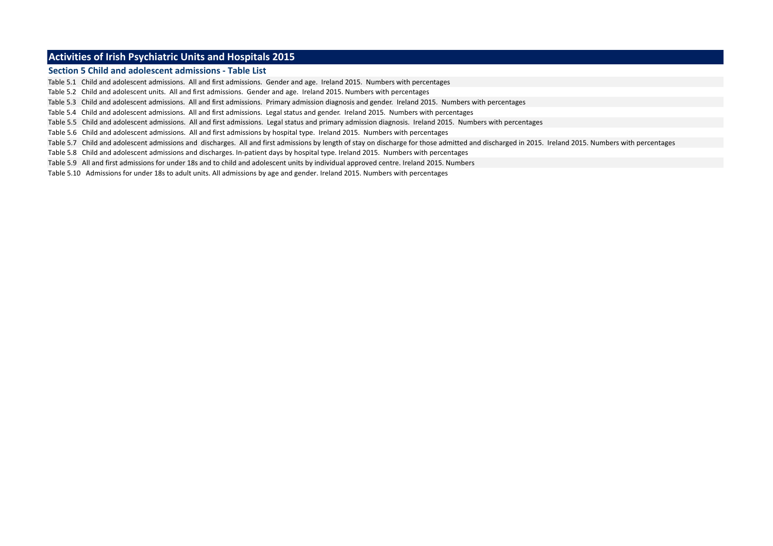#### **Activities of Irish Psychiatric Units and Hospitals 2015**

#### **Section 5 Child and adolescent admissions - Table List**

Table 5.1 Child and adolescent admissions. All and first admissions. Gender and age. Ireland 2015. Numbers with percentages

Table 5.2 Child and adolescent units. All and first admissions. Gender and age. Ireland 2015. Numbers with percentages

Table 5.3 Child and adolescent admissions. All and first admissions. Primary admission diagnosis and gender. Ireland 2015. Numbers with percentages

Table 5.4 Child and adolescent admissions. All and first admissions. Legal status and gender. Ireland 2015. Numbers with percentages

Table 5.5 Child and adolescent admissions. All and first admissions. Legal status and primary admission diagnosis. Ireland 2015. Numbers with percentages

Table 5.6 Child and adolescent admissions. All and first admissions by hospital type. Ireland 2015. Numbers with percentages

Table 5.7 Child and adolescent admissions and discharges. All and first admissions by length of stay on discharge for those admitted and discharged in 2015. Ireland 2015. Numbers with percentages

Table 5.8 Child and adolescent admissions and discharges. In-patient days by hospital type. Ireland 2015. Numbers with percentages

Table 5.9 All and first admissions for under 18s and to child and adolescent units by individual approved centre. Ireland 2015. Numbers

Table 5.10 Admissions for under 18s to adult units. All admissions by age and gender. Ireland 2015. Numbers with percentages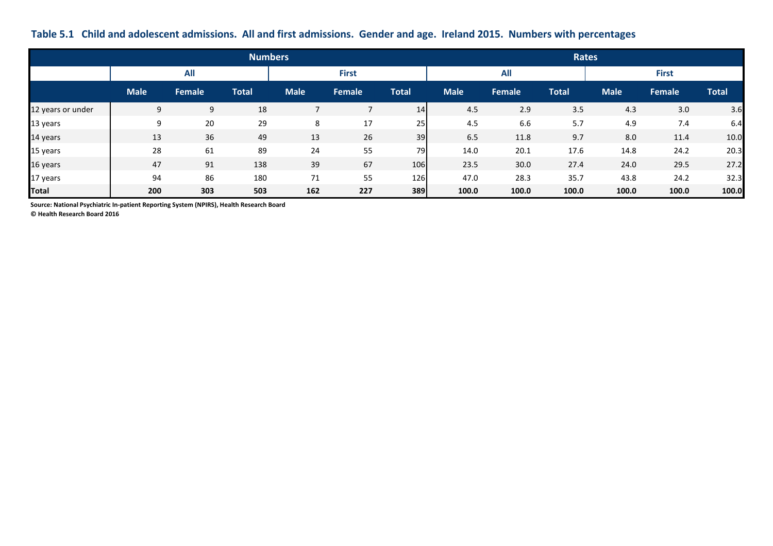### **Table 5.1 Child and adolescent admissions. All and first admissions. Gender and age. Ireland 2015. Numbers with percentages**

|                   |             |               | <b>Numbers</b> |             |              |       | <b>Rates</b> |               |              |             |               |              |  |
|-------------------|-------------|---------------|----------------|-------------|--------------|-------|--------------|---------------|--------------|-------------|---------------|--------------|--|
|                   |             | <b>All</b>    |                |             | <b>First</b> |       |              | <b>All</b>    |              |             | <b>First</b>  |              |  |
|                   | <b>Male</b> | <b>Female</b> | <b>Total</b>   | <b>Male</b> | Female       | Total | <b>Male</b>  | <b>Female</b> | <b>Total</b> | <b>Male</b> | <b>Female</b> | <b>Total</b> |  |
| 12 years or under | 9           | 9             | 18             |             |              | 14    | 4.5          | 2.9           | 3.5          | 4.3         | 3.0           | 3.6          |  |
| 13 years          | q           | 20            | 29             | 8           | 17           | 25    | 4.5          | 6.6           | 5.7          | 4.9         | 7.4           | 6.4          |  |
| 14 years          | 13          | 36            | 49             | 13          | 26           | 39    | 6.5          | 11.8          | 9.7          | 8.0         | 11.4          | 10.0         |  |
| 15 years          | 28          | 61            | 89             | 24          | 55           | 79    | 14.0         | 20.1          | 17.6         | 14.8        | 24.2          | 20.3         |  |
| 16 years          | 47          | 91            | 138            | 39          | 67           | 106   | 23.5         | 30.0          | 27.4         | 24.0        | 29.5          | 27.2         |  |
| 17 years          | 94          | 86            | 180            | 71          | 55           | 126   | 47.0         | 28.3          | 35.7         | 43.8        | 24.2          | 32.3         |  |
| Total             | 200         | 303           | 503            | 162         | 227          | 389   | 100.0        | 100.0         | 100.0        | 100.0       | 100.0         | 100.0        |  |

**Source: National Psychiatric In-patient Reporting System (NPIRS), Health Research Board**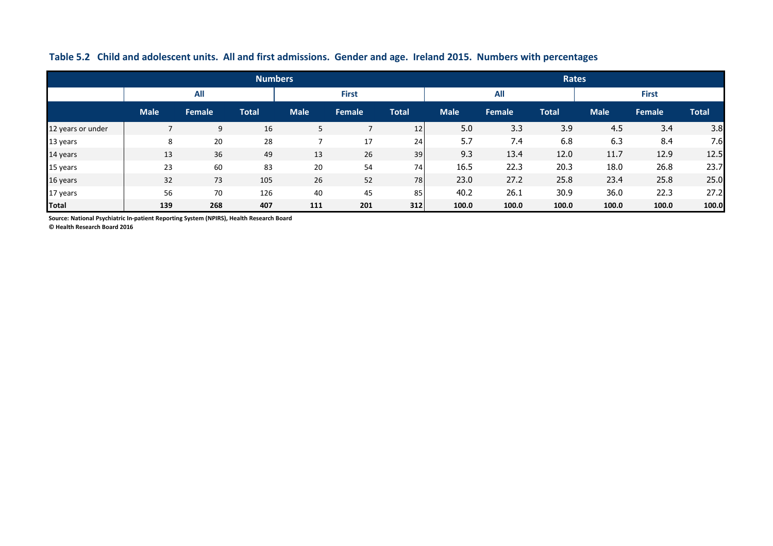|                   |             |            | <b>Numbers</b> |             |               |              | Rates       |        |              |             |               |              |
|-------------------|-------------|------------|----------------|-------------|---------------|--------------|-------------|--------|--------------|-------------|---------------|--------------|
|                   |             | <b>All</b> |                |             | <b>First</b>  |              |             | All    |              |             | <b>First</b>  |              |
|                   | <b>Male</b> | Female     | <b>Total</b>   | <b>Male</b> | <b>Female</b> | <b>Total</b> | <b>Male</b> | Female | <b>Total</b> | <b>Male</b> | <b>Female</b> | <b>Total</b> |
| 12 years or under |             | 9          | 16             | 5           |               | 12           | 5.0         | 3.3    | 3.9          | 4.5         | 3.4           | 3.8          |
| 13 years          | 8           | 20         | 28             |             | 17            | 24           | 5.7         | 7.4    | 6.8          | 6.3         | 8.4           | 7.6          |
| 14 years          | 13          | 36         | 49             | 13          | 26            | 39           | 9.3         | 13.4   | 12.0         | 11.7        | 12.9          | 12.5         |
| 15 years          | 23          | 60         | 83             | 20          | 54            | 74           | 16.5        | 22.3   | 20.3         | 18.0        | 26.8          | 23.7         |
| 16 years          | 32          | 73         | 105            | 26          | 52            | 78           | 23.0        | 27.2   | 25.8         | 23.4        | 25.8          | 25.0         |
| 17 years          | 56          | 70         | 126            | 40          | 45            | 85           | 40.2        | 26.1   | 30.9         | 36.0        | 22.3          | 27.2         |
| <b>Total</b>      | 139         | 268        | 407            | 111         | 201           | 312          | 100.0       | 100.0  | 100.0        | 100.0       | 100.0         | 100.0        |

### **Table 5.2 Child and adolescent units. All and first admissions. Gender and age. Ireland 2015. Numbers with percentages**

**Source: National Psychiatric In-patient Reporting System (NPIRS), Health Research Board**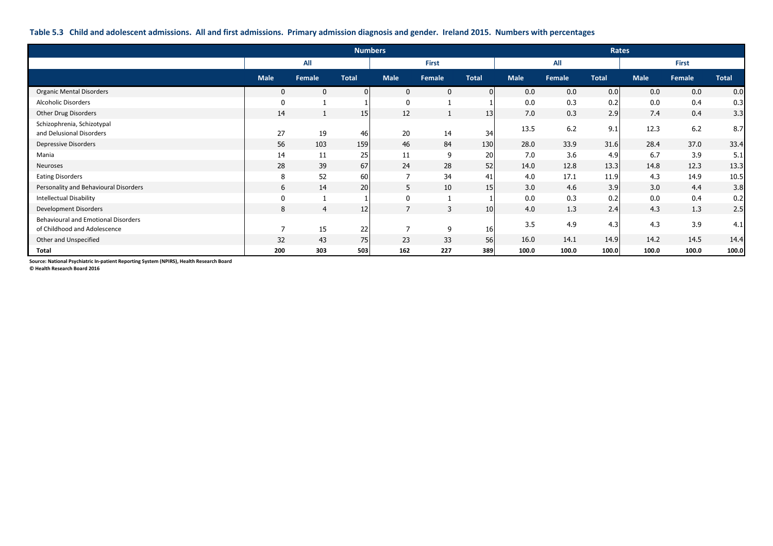#### **Table 5.3 Child and adolescent admissions. All and first admissions. Primary admission diagnosis and gender. Ireland 2015. Numbers with percentages**

|                                                                            |                  | <b>Numbers</b> |                 |                |              |                | Rates       |        |              |             |        |              |
|----------------------------------------------------------------------------|------------------|----------------|-----------------|----------------|--------------|----------------|-------------|--------|--------------|-------------|--------|--------------|
|                                                                            |                  | All            |                 |                | First        |                |             | All    |              |             | First  |              |
|                                                                            | <b>Male</b>      | Female         | <b>Total</b>    | <b>Male</b>    | Female       | <b>Total</b>   | <b>Male</b> | Female | <b>Total</b> | <b>Male</b> | Female | <b>Total</b> |
| <b>Organic Mental Disorders</b>                                            | $\mathbf{0}$     | $\mathbf{0}$   | $\overline{0}$  | $\mathbf{0}$   | $\mathbf{0}$ | $\overline{0}$ | 0.0         | 0.0    | 0.0          | 0.0         | 0.0    | 0.0          |
| Alcoholic Disorders                                                        | $\boldsymbol{0}$ |                |                 | $\mathbf 0$    |              |                | 0.0         | 0.3    | 0.2          | 0.0         | 0.4    | 0.3          |
| Other Drug Disorders                                                       | 14               |                | 15 <sup>1</sup> | 12             |              | 13             | 7.0         | 0.3    | 2.9          | 7.4         | 0.4    | 3.3          |
| Schizophrenia, Schizotypal<br>and Delusional Disorders                     | 27               | 19             | 46              | 20             | 14           | 34             | 13.5        | $6.2$  | 9.1          | 12.3        | 6.2    | 8.7          |
| <b>Depressive Disorders</b>                                                | 56               | 103            | 159             | 46             | 84           | 130            | 28.0        | 33.9   | 31.6         | 28.4        | 37.0   | 33.4         |
| Mania                                                                      | 14               | 11             | 25              | 11             | 9            | 20             | 7.0         | 3.6    | 4.9          | 6.7         | 3.9    | 5.1          |
| Neuroses                                                                   | 28               | 39             | 67              | 24             | 28           | 52             | 14.0        | 12.8   | 13.3         | 14.8        | 12.3   | 13.3         |
| <b>Eating Disorders</b>                                                    | 8                | 52             | 60              | $\overline{7}$ | 34           | 41             | 4.0         | 17.1   | 11.9         | 4.3         | 14.9   | 10.5         |
| Personality and Behavioural Disorders                                      | 6                | 14             | 20              | 5              | 10           | 15             | 3.0         | 4.6    | 3.9          | 3.0         | 4.4    | 3.8          |
| <b>Intellectual Disability</b>                                             | $\mathbf 0$      |                |                 | $\mathbf 0$    |              |                | 0.0         | 0.3    | 0.2          | 0.0         | 0.4    | 0.2          |
| Development Disorders                                                      | 8                | $\overline{4}$ | 12              | $\overline{7}$ | 3            | 10             | 4.0         | 1.3    | 2.4          | 4.3         | 1.3    | 2.5          |
| <b>Behavioural and Emotional Disorders</b><br>of Childhood and Adolescence | $\overline{ }$   | 15             | 22              | $\overline{ }$ | 9            | 16             | 3.5         | 4.9    | 4.3          | 4.3         | 3.9    | 4.1          |
| Other and Unspecified                                                      | 32               | 43             | 75              | 23             | 33           | 56             | 16.0        | 14.1   | 14.9         | 14.2        | 14.5   | 14.4         |
| Total                                                                      | 200              | 303            | 503             | 162            | 227          | 389            | 100.0       | 100.0  | 100.0        | 100.0       | 100.0  | 100.0        |

**Source: National Psychiatric In-patient Reporting System (NPIRS), Health Research Board**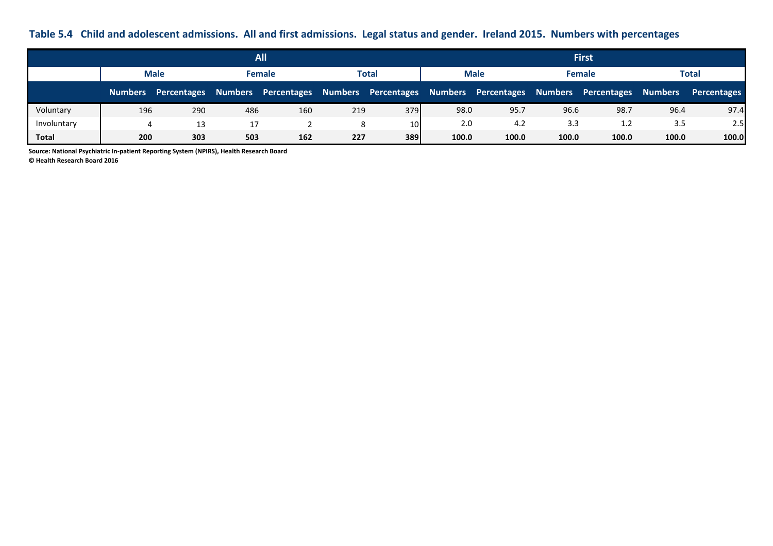## **Table 5.4 Child and adolescent admissions. All and first admissions. Legal status and gender. Ireland 2015. Numbers with percentages**

|             |             |                     |     | <b>All</b>                              |     |                             |       |                     |               | <b>First</b>        |                |                    |
|-------------|-------------|---------------------|-----|-----------------------------------------|-----|-----------------------------|-------|---------------------|---------------|---------------------|----------------|--------------------|
|             | <b>Male</b> |                     |     | <b>Female</b>                           |     | <b>Male</b><br><b>Total</b> |       |                     | <b>Female</b> |                     | Total          |                    |
|             |             | Numbers Percentages |     | Numbers Percentages Numbers Percentages |     |                             |       | Numbers Percentages |               | Numbers Percentages | <b>Numbers</b> | <b>Percentages</b> |
| Voluntary   | 196         | 290                 | 486 | 160                                     | 219 | 379                         | 98.0  | 95.7                | 96.6          | 98.7                | 96.4           | 97.4               |
| Involuntary | 4           | 13                  | 17  |                                         |     | 10                          | 2.0   | 4.2                 | 3.3           | 1.2                 | 3.5            | 2.5                |
| Total       | 200         | 303                 | 503 | 162                                     | 227 | 389                         | 100.0 | 100.0               | 100.0         | 100.0               | 100.0          | 100.0              |

**Source: National Psychiatric In-patient Reporting System (NPIRS), Health Research Board**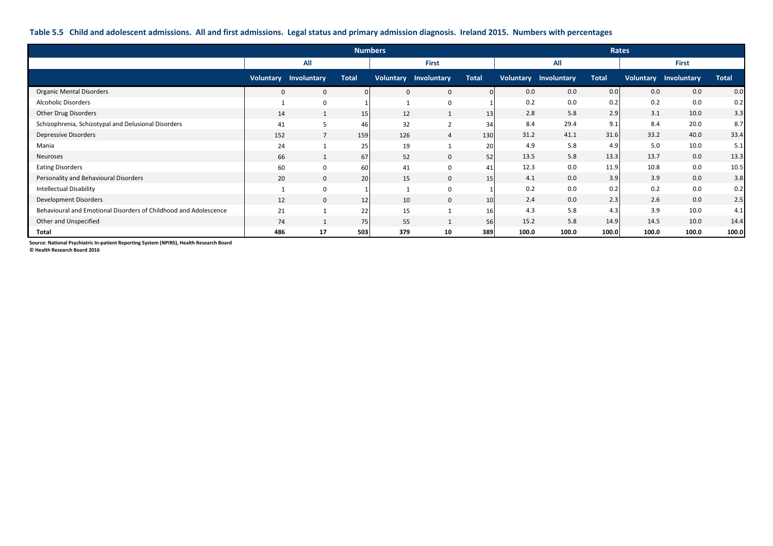#### **Table 5.5 Child and adolescent admissions. All and first admissions. Legal status and primary admission diagnosis. Ireland 2015. Numbers with percentages**

|                                                                  |              | <b>Numbers</b>               |              |     |                              |                 |       | Rates                        |              |       |                              |              |
|------------------------------------------------------------------|--------------|------------------------------|--------------|-----|------------------------------|-----------------|-------|------------------------------|--------------|-------|------------------------------|--------------|
|                                                                  |              | All                          |              |     | <b>First</b>                 |                 |       | All                          |              |       | <b>First</b>                 |              |
|                                                                  |              | <b>Voluntary Involuntary</b> | <b>Total</b> |     | <b>Voluntary Involuntary</b> | <b>Total</b>    |       | <b>Voluntary Involuntary</b> | <b>Total</b> |       | <b>Voluntary Involuntary</b> | <b>Total</b> |
| <b>Organic Mental Disorders</b>                                  | $\mathbf{0}$ | $\mathbf{0}$                 |              | 0   | $\mathbf{0}$                 |                 | 0.0   | 0.0                          | 0.0          | 0.0   | 0.0                          | 0.0          |
| <b>Alcoholic Disorders</b>                                       |              | $\mathbf{0}$                 |              |     | 0                            |                 | 0.2   | 0.0                          | 0.2          | 0.2   | 0.0                          | 0.2          |
| Other Drug Disorders                                             | 14           |                              | 15           | 12  | $\mathbf{1}$                 | 13              | 2.8   | 5.8                          | 2.9          | 3.1   | 10.0                         | 3.3          |
| Schizophrenia, Schizotypal and Delusional Disorders              | 41           | 5                            | 46           | 32  | 2                            | 34              | 8.4   | 29.4                         | 9.1          | 8.4   | 20.0                         | 8.7          |
| <b>Depressive Disorders</b>                                      | 152          | $\overline{7}$               | 159          | 126 | $\overline{4}$               | 130             | 31.2  | 41.1                         | 31.6         | 33.2  | 40.0                         | 33.4         |
| Mania                                                            | 24           |                              | 25           | 19  |                              | 20              | 4.9   | 5.8                          | 4.9          | 5.0   | 10.0                         | 5.1          |
| Neuroses                                                         | 66           | $\mathbf{1}$                 | 67           | 52  | $\mathbf{0}$                 | 52              | 13.5  | 5.8                          | 13.3         | 13.7  | 0.0                          | 13.3         |
| <b>Eating Disorders</b>                                          | 60           | 0                            | 60           | 41  | 0                            | 41              | 12.3  | 0.0                          | 11.9         | 10.8  | 0.0                          | 10.5         |
| Personality and Behavioural Disorders                            | 20           | $\mathbf 0$                  | 20           | 15  | $\mathbf{0}$                 | 15              | 4.1   | 0.0                          | 3.9          | 3.9   | 0.0                          | 3.8          |
| <b>Intellectual Disability</b>                                   |              | 0                            |              |     | 0                            |                 | 0.2   | 0.0                          | 0.2          | 0.2   | 0.0                          | 0.2          |
| Development Disorders                                            | 12           | $\mathbf 0$                  | 12           | 10  | $\mathbf 0$                  | 10 <sup>1</sup> | 2.4   | 0.0                          | 2.3          | 2.6   | 0.0                          | 2.5          |
| Behavioural and Emotional Disorders of Childhood and Adolescence | 21           | $\mathbf{1}$                 | 22           | 15  |                              | 16              | 4.3   | 5.8                          | 4.3          | 3.9   | 10.0                         | 4.1          |
| Other and Unspecified                                            | 74           |                              | 75           | 55  |                              | 56              | 15.2  | 5.8                          | 14.9         | 14.5  | 10.0                         | 14.4         |
| Total                                                            | 486          | 17                           | 503          | 379 | 10                           | 389             | 100.0 | 100.0                        | 100.0        | 100.0 | 100.0                        | 100.0        |

**Source: National Psychiatric In-patient Reporting System (NPIRS), Health Research Board**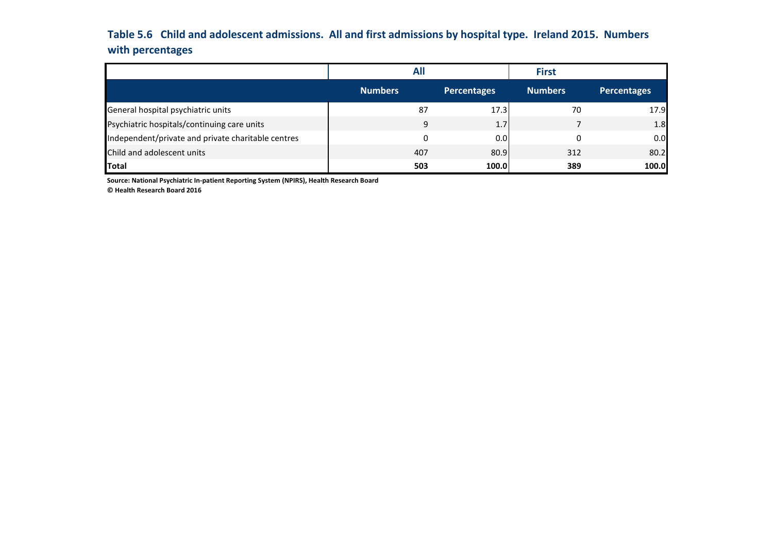# **Table 5.6 Child and adolescent admissions. All and first admissions by hospital type. Ireland 2015. Numbers with percentages**

|                                                    | <b>All</b>     |                    | <b>First</b>   |                    |
|----------------------------------------------------|----------------|--------------------|----------------|--------------------|
|                                                    | <b>Numbers</b> | <b>Percentages</b> | <b>Numbers</b> | <b>Percentages</b> |
| General hospital psychiatric units                 | 87             | 17.3               | 70             | 17.9               |
| Psychiatric hospitals/continuing care units        | 9              | 1.7                |                | 1.8                |
| Independent/private and private charitable centres | 0              | 0.0                |                | 0.0                |
| Child and adolescent units                         | 407            | 80.9               | 312            | 80.2               |
| <b>Total</b>                                       | 503            | 100.0              | 389            | 100.0              |

**Source: National Psychiatric In-patient Reporting System (NPIRS), Health Research Board**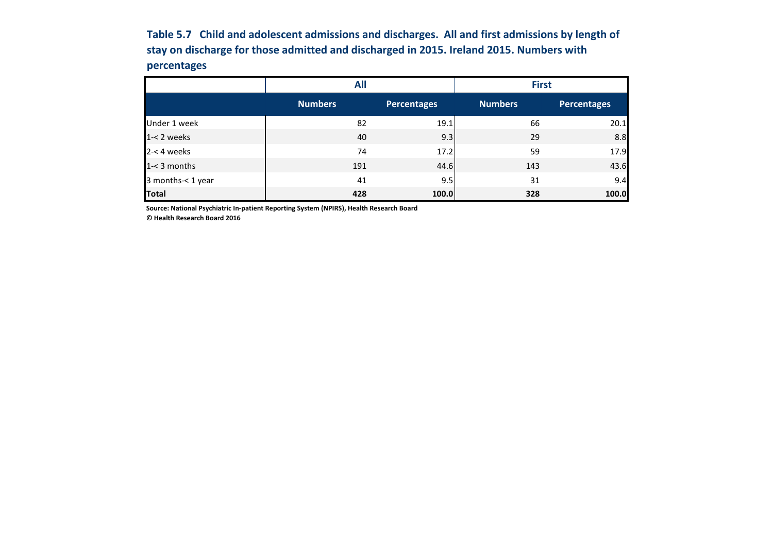**Table 5.7 Child and adolescent admissions and discharges. All and first admissions by length of stay on discharge for those admitted and discharged in 2015. Ireland 2015. Numbers with percentages**

|                   | <b>All</b>     |             | <b>First</b>   |                    |  |  |
|-------------------|----------------|-------------|----------------|--------------------|--|--|
|                   | <b>Numbers</b> | Percentages | <b>Numbers</b> | <b>Percentages</b> |  |  |
| Under 1 week      | 82             | 19.1        | 66             | 20.1               |  |  |
| $1 - 2$ weeks     | 40             | 9.3         | 29             | 8.8                |  |  |
| $2 - 4$ weeks     | 74             | 17.2        | 59             | 17.9               |  |  |
| $1 - 3$ months    | 191            | 44.6        | 143            | 43.6               |  |  |
| 3 months-< 1 year | 41             | 9.5         | 31             | 9.4                |  |  |
| <b>Total</b>      | 428            | 100.0       | 328            | 100.0              |  |  |

**Source: National Psychiatric In-patient Reporting System (NPIRS), Health Research Board**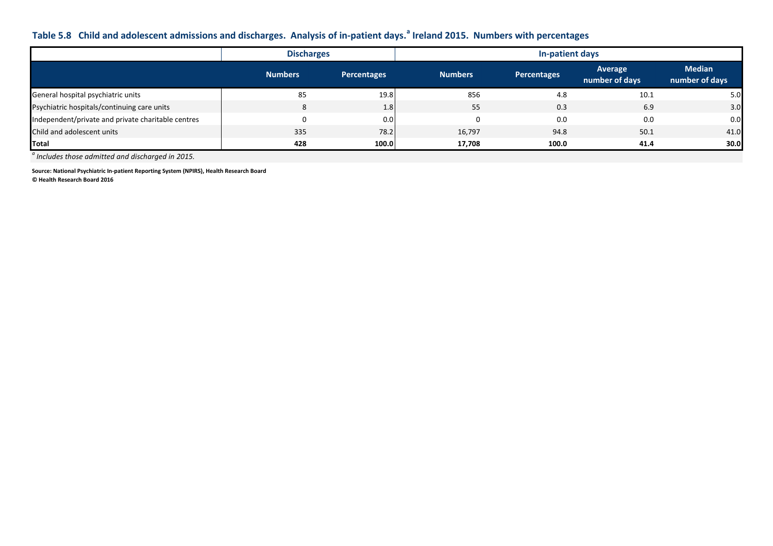## **Table 5.8 Child and adolescent admissions and discharges. Analysis of in-patient days.<sup>a</sup> Ireland 2015. Numbers with percentages**

|                                                    | <b>Discharges</b> |                    | In-patient days |                    |                                  |                                 |  |  |
|----------------------------------------------------|-------------------|--------------------|-----------------|--------------------|----------------------------------|---------------------------------|--|--|
|                                                    | <b>Numbers</b>    | <b>Percentages</b> | <b>Numbers</b>  | <b>Percentages</b> | <b>Average</b><br>number of days | <b>Median</b><br>number of days |  |  |
| General hospital psychiatric units                 | 85                | 19.8               | 856             | 4.8                | 10.1                             | 5.0                             |  |  |
| Psychiatric hospitals/continuing care units        | 8                 | 1.8                | 55              | 0.3                | 6.9                              | 3.0                             |  |  |
| Independent/private and private charitable centres | $\Omega$          | 0.0                |                 | 0.0                | 0.0                              | 0.0                             |  |  |
| Child and adolescent units                         | 335               | 78.2               | 16,797          | 94.8               | 50.1                             | 41.0                            |  |  |
| Total                                              | 428               | 100.0              | 17.708          | 100.0              | 41.4                             | 30.0                            |  |  |

*a Includes those admitted and discharged in 2015.*

**Source: National Psychiatric In-patient Reporting System (NPIRS), Health Research Board**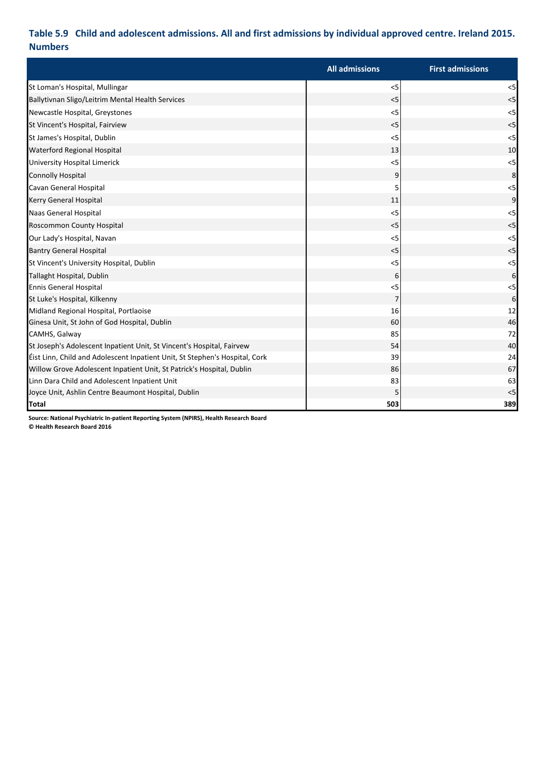## **Table 5.9 Child and adolescent admissions. All and first admissions by individual approved centre. Ireland 2015. Numbers**

|                                                                             | <b>All admissions</b> | <b>First admissions</b> |
|-----------------------------------------------------------------------------|-----------------------|-------------------------|
| St Loman's Hospital, Mullingar                                              | $<$ 5                 | < 5                     |
| Ballytivnan Sligo/Leitrim Mental Health Services                            | < 5                   | < 5                     |
| Newcastle Hospital, Greystones                                              | $<$ 5                 | < 5                     |
| St Vincent's Hospital, Fairview                                             | < 5                   | $<$ 5                   |
| St James's Hospital, Dublin                                                 | < 5                   | $<$ 5                   |
| <b>Waterford Regional Hospital</b>                                          | 13                    | 10                      |
| University Hospital Limerick                                                | $<$ 5                 | < 5                     |
| <b>Connolly Hospital</b>                                                    | 9                     | 8                       |
| Cavan General Hospital                                                      | 5                     | < 5                     |
| Kerry General Hospital                                                      | 11                    | $\overline{9}$          |
| Naas General Hospital                                                       | < 5                   | < 5                     |
| Roscommon County Hospital                                                   | < 5                   | $<$ 5                   |
| Our Lady's Hospital, Navan                                                  | $<$ 5                 | < 5                     |
| <b>Bantry General Hospital</b>                                              | < 5                   | < 5                     |
| St Vincent's University Hospital, Dublin                                    | $<$ 5                 | $<$ 5                   |
| Tallaght Hospital, Dublin                                                   | 6                     | 6                       |
| <b>Ennis General Hospital</b>                                               | $<$ 5                 | $5$                     |
| St Luke's Hospital, Kilkenny                                                | $\overline{7}$        | 6                       |
| Midland Regional Hospital, Portlaoise                                       | 16                    | 12                      |
| Ginesa Unit, St John of God Hospital, Dublin                                | 60                    | 46                      |
| CAMHS, Galway                                                               | 85                    | 72                      |
| St Joseph's Adolescent Inpatient Unit, St Vincent's Hospital, Fairvew       | 54                    | 40                      |
| Eist Linn, Child and Adolescent Inpatient Unit, St Stephen's Hospital, Cork | 39                    | 24                      |
| Willow Grove Adolescent Inpatient Unit, St Patrick's Hospital, Dublin       | 86                    | 67                      |
| Linn Dara Child and Adolescent Inpatient Unit                               | 83                    | 63                      |
| Joyce Unit, Ashlin Centre Beaumont Hospital, Dublin                         | 5                     | < 5                     |
| <b>Total</b>                                                                | 503                   | 389                     |

**Source: National Psychiatric In-patient Reporting System (NPIRS), Health Research Board**